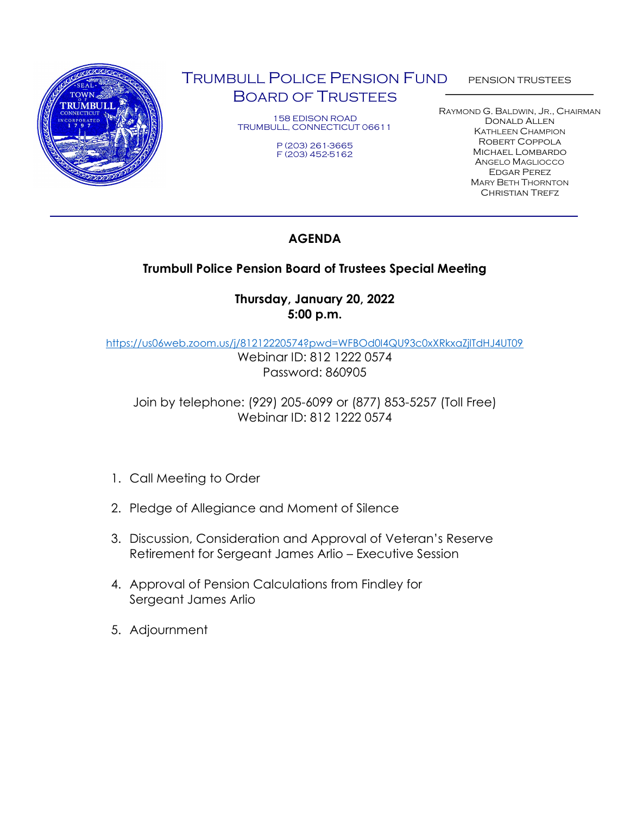

# TRUMBULL POLICE PENSION FUND BOARD OF TRUSTEES

158 EDISON ROAD TRUMBULL, CONNECTICUT 06611

> P (203) 261-3665 F (203) 452-5162

PENSION TRUSTEES

RAYMOND G. BALDWIN, JR., CHAIRMAN Donald Allen KATHLEEN CHAMPION Robert Coppola Michael Lombardo ANGELO MAGLIOCCO Edgar Perez MARY BETH THORNTON **CHRISTIAN TREFZ** 

## **AGENDA**

## **Trumbull Police Pension Board of Trustees Special Meeting**

## **Thursday, January 20, 2022 5:00 p.m.**

<https://us06web.zoom.us/j/81212220574?pwd=WFBOd0I4QU93c0xXRkxaZjlTdHJ4UT09>

Webinar ID: 812 1222 0574 Password: 860905

Join by telephone: (929) 205-6099 or (877) 853-5257 (Toll Free) Webinar ID: 812 1222 0574

- 1. Call Meeting to Order
- 2. Pledge of Allegiance and Moment of Silence
- 3. Discussion, Consideration and Approval of Veteran's Reserve Retirement for Sergeant James Arlio – Executive Session
- 4. Approval of Pension Calculations from Findley for Sergeant James Arlio
- 5. Adjournment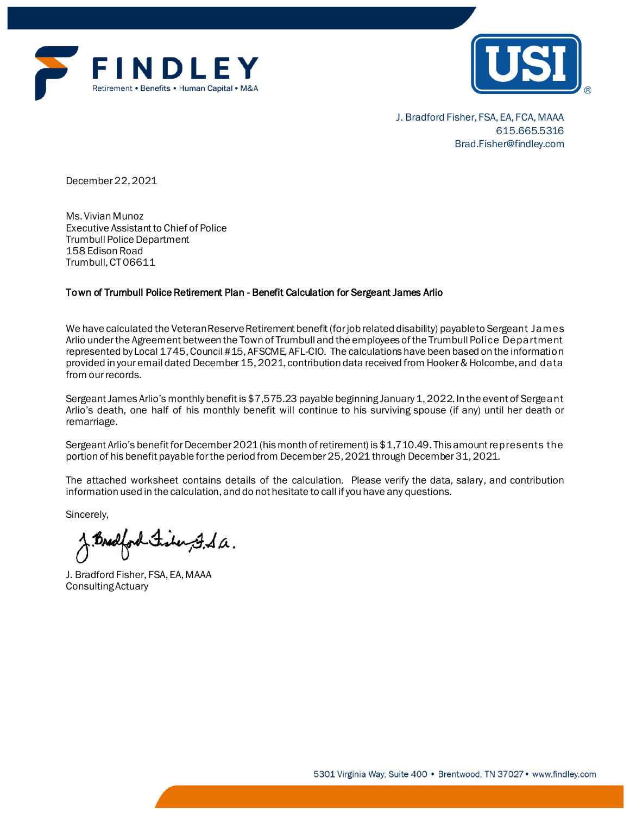



J. Bradford Fisher, FSA, EA, FCA, MAAA 615.665.5316 Brad.Fisher@findley.com

December 22, 2021

Ms. Vivian Munoz Executive Assistant to Chief of Police Trumbull Police Department 158 Edison Road Trumbull, CT06611

#### Town of Trumbull Police Retirement Plan - Benefit Calculation for Sergeant James Arlio

We have calculated the Veteran Reserve Retirement benefit (for job related disability) payable to Sergeant James Arlio under the Agreement between the Town of Trumbull and the employees of the Trumbull Police Department represented by Local 1745, Council #15, AFSCME, AFL-CIO. The calculations have been based on the information provided in your email dated December 15, 2021, contribution data received from Hooker & Holcombe, and data from our records.

Sergeant James Arlio's monthly benefit is \$7,575.23 payable beginning January 1, 2022. In the event of Sergeant Arlio's death, one half of his monthly benefit will continue to his surviving spouse (if any) until her death or remarriage.

Sergeant Arlio's benefit for December 2021 (his month of retirement) is \$1,710.49. This amount represents the portion of his benefit payable for the period from December 25, 2021 through December 31, 2021.

The attached worksheet contains details of the calculation. Please verify the data, salary, and contribution information used in the calculation, and do not hesitate to call if you have any questions.

Sincerely,

Bredford Fisher F.S.a.

J. Bradford Fisher, FSA, EA, MAAA Consulting Actuary